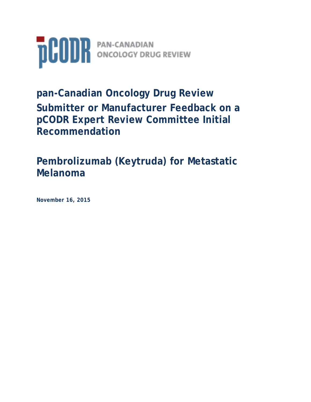

# **pan-Canadian Oncology Drug Review Submitter or Manufacturer Feedback on a pCODR Expert Review Committee Initial Recommendation**

**Pembrolizumab (Keytruda) for Metastatic Melanoma**

**November 16, 2015**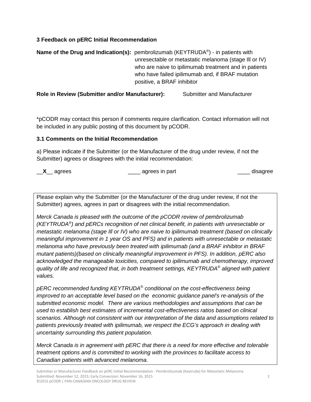### **3 Feedback on pERC Initial Recommendation**

**Name of the Drug and Indication(s):** pembrolizumab (KEYTRUDA<sup>®</sup>) - in patients with unresectable or metastatic melanoma (stage Ill or IV) who are naive to ipilimumab treatment and in patients who have failed ipilimumab and, if BRAF mutation positive, a BRAF inhibitor

**Role in Review (Submitter and/or Manufacturer):** Submitter and Manufacturer

\*pCODR may contact this person if comments require clarification. Contact information will not be included in any public posting of this document by pCODR.

#### **3.1 Comments on the Initial Recommendation**

a) Please indicate if the Submitter (or the Manufacturer of the drug under review, if not the Submitter) agrees or disagrees with the initial recommendation:

\_\_**X**\_\_ agrees \_\_\_\_ agrees in part \_\_\_\_ disagree

Please explain why the Submitter (or the Manufacturer of the drug under review, if not the Submitter) agrees, agrees in part or disagrees with the initial recommendation.

*Merck Canada is pleased with the outcome of the pCODR review of pembrolizumab (KEYTRUDA®) and pERCs recognition of net clinical benefit, in patients with unresectable or metastatic melanoma (stage Ill or IV) who are naive to ipilimumab treatment (based on clinically meaningful improvement in 1 year OS and PFS) and in patients with unresectable or metastatic melanoma who have previously been treated with ipilimumab (and a BRAF inhibitor in BRAF mutant patients)(based on clinically meaningful improvement in PFS). In addition, pERC also acknowledged the manageable toxicities, compared to ipilimumab and chemotherapy, improved quality of life and recognized that, in both treatment settings, KEYTRUDA® aligned with patient values.*

*pERC recommended funding KEYTRUDA® conditional on the cost-effectiveness being improved to an acceptable level based on the economic guidance panel's re-analysis of the submitted economic model. There are various methodologies and assumptions that can be used to establish best estimates of incremental cost-effectiveness ratios based on clinical scenarios. Although not consistent with our interpretation of the data and assumptions related to patients previously treated with ipilimumab, we respect the ECG's approach in dealing with uncertainty surrounding this patient population.*

*Merck Canada is in agreement with pERC that there is a need for more effective and tolerable treatment options and is committed to working with the provinces to facilitate access to Canadian patients with advanced melanoma.*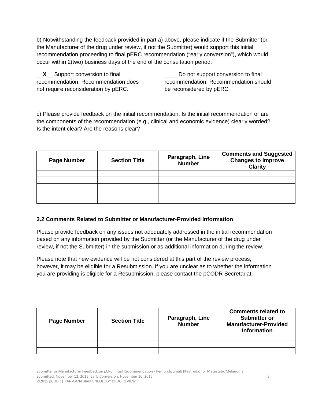b) Notwithstanding the feedback provided in part a) above, please indicate if the Submitter (or the Manufacturer of the drug under review, if not the Submitter) would support this initial recommendation proceeding to final pERC recommendation ("early conversion"), which would occur within 2(two) business days of the end of the consultation period.

\_\_**X**\_\_ Support conversion to final recommendation. Recommendation does not require reconsideration by pERC.

Do not support conversion to final recommendation. Recommendation should be reconsidered by pERC

c) Please provide feedback on the initial recommendation. Is the initial recommendation or are the components of the recommendation (e.g., clinical and economic evidence) clearly worded? Is the intent clear? Are the reasons clear?

| <b>Page Number</b> | <b>Section Title</b> | Paragraph, Line<br><b>Number</b> | <b>Comments and Suggested</b><br><b>Changes to Improve</b><br><b>Clarity</b> |
|--------------------|----------------------|----------------------------------|------------------------------------------------------------------------------|
|                    |                      |                                  |                                                                              |
|                    |                      |                                  |                                                                              |
|                    |                      |                                  |                                                                              |
|                    |                      |                                  |                                                                              |
|                    |                      |                                  |                                                                              |

#### **3.2 Comments Related to Submitter or Manufacturer-Provided Information**

Please provide feedback on any issues not adequately addressed in the initial recommendation based on any information provided by the Submitter (or the Manufacturer of the drug under review, if not the Submitter) in the submission or as additional information during the review.

Please note that new evidence will be not considered at this part of the review process, however, it may be eligible for a Resubmission. If you are unclear as to whether the information you are providing is eligible for a Resubmission, please contact the pCODR Secretariat.

| <b>Page Number</b> | <b>Section Title</b> | Paragraph, Line<br><b>Number</b> | <b>Comments related to</b><br><b>Submitter or</b><br><b>Manufacturer-Provided</b><br><b>Information</b> |
|--------------------|----------------------|----------------------------------|---------------------------------------------------------------------------------------------------------|
|                    |                      |                                  |                                                                                                         |
|                    |                      |                                  |                                                                                                         |
|                    |                      |                                  |                                                                                                         |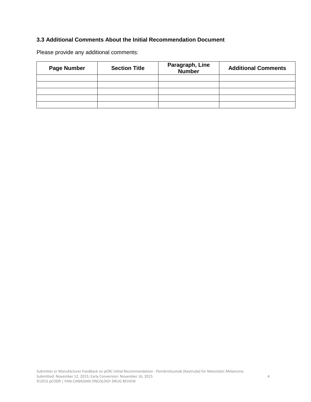#### **3.3 Additional Comments About the Initial Recommendation Document**

Please provide any additional comments:

| <b>Page Number</b> | <b>Section Title</b> | Paragraph, Line<br><b>Number</b> | <b>Additional Comments</b> |
|--------------------|----------------------|----------------------------------|----------------------------|
|                    |                      |                                  |                            |
|                    |                      |                                  |                            |
|                    |                      |                                  |                            |
|                    |                      |                                  |                            |
|                    |                      |                                  |                            |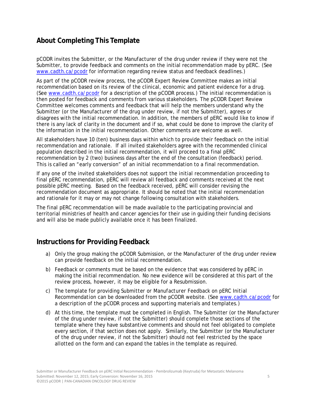## **About Completing This Template**

pCODR invites the Submitter, or the Manufacturer of the drug under review if they were not the Submitter, to provide feedback and comments on the initial recommendation made by pERC. (See www.cadth.ca/pcodr for information regarding review status and feedback deadlines.)

As part of the pCODR review process, the pCODR Expert Review Committee makes an initial recommendation based on its review of the clinical, economic and patient evidence for a drug. (See www.cadth.ca/pcodr for a description of the pCODR process.) The initial recommendation is then posted for feedback and comments from various stakeholders. The pCODR Expert Review Committee welcomes comments and feedback that will help the members understand why the Submitter (or the Manufacturer of the drug under review, if not the Submitter), agrees or disagrees with the initial recommendation. In addition, the members of pERC would like to know if there is any lack of clarity in the document and if so, what could be done to improve the clarity of the information in the initial recommendation. Other comments are welcome as well.

All stakeholders have 10 (ten) business days within which to provide their feedback on the initial recommendation and rationale. If all invited stakeholders agree with the recommended clinical population described in the initial recommendation, it will proceed to a final pERC recommendation by 2 (two) business days after the end of the consultation (feedback) period. This is called an "early conversion" of an initial recommendation to a final recommendation.

If any one of the invited stakeholders does not support the initial recommendation proceeding to final pERC recommendation, pERC will review all feedback and comments received at the next possible pERC meeting. Based on the feedback received, pERC will consider revising the recommendation document as appropriate. It should be noted that the initial recommendation and rationale for it may or may not change following consultation with stakeholders.

The final pERC recommendation will be made available to the participating provincial and territorial ministries of health and cancer agencies for their use in guiding their funding decisions and will also be made publicly available once it has been finalized.

## **Instructions for Providing Feedback**

- a) Only the group making the pCODR Submission, or the Manufacturer of the drug under review can provide feedback on the initial recommendation.
- b) Feedback or comments must be based on the evidence that was considered by pERC in making the initial recommendation. No new evidence will be considered at this part of the review process, however, it may be eligible for a Resubmission.
- c) The template for providing *Submitter or Manufacturer Feedback on pERC Initial Recommendation* can be downloaded from the pCODR website. (See www.cadth.ca/pcodr for a description of the pCODR process and supporting materials and templates.)
- d) At this time, the template must be completed in English. The Submitter (or the Manufacturer of the drug under review, if not the Submitter) should complete those sections of the template where they have substantive comments and should not feel obligated to complete every section, if that section does not apply. Similarly, the Submitter (or the Manufacturer of the drug under review, if not the Submitter) should not feel restricted by the space allotted on the form and can expand the tables in the template as required.